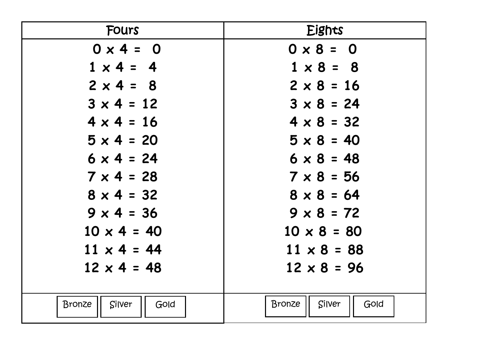| Fours                           | Eights                   |
|---------------------------------|--------------------------|
| $0 \times 4 = 0$                | $0 \times 8 = 0$         |
| $1 \times 4 = 4$                | $1 \times 8 = 8$         |
| $2 \times 4 = 8$                | $2 \times 8 = 16$        |
| $3 \times 4 = 12$               | $3 \times 8 = 24$        |
| $4 \times 4 = 16$               | $4 \times 8 = 32$        |
| $5 \times 4 = 20$               | $5 \times 8 = 40$        |
| $6 \times 4 = 24$               | $6 \times 8 = 48$        |
| $7 \times 4 = 28$               | $7 \times 8 = 56$        |
| $8 \times 4 = 32$               | $8 \times 8 = 64$        |
| $9 \times 4 = 36$               | $9 \times 8 = 72$        |
| $10 \times 4 = 40$              | $10 \times 8 = 80$       |
| $11 \times 4 = 44$              | $11 \times 8 = 88$       |
| $12 \times 4 = 48$              | $12 \times 8 = 96$       |
|                                 |                          |
| <b>Bronze</b><br>Silver<br>Gold | Bronze<br>Silver<br>Gold |